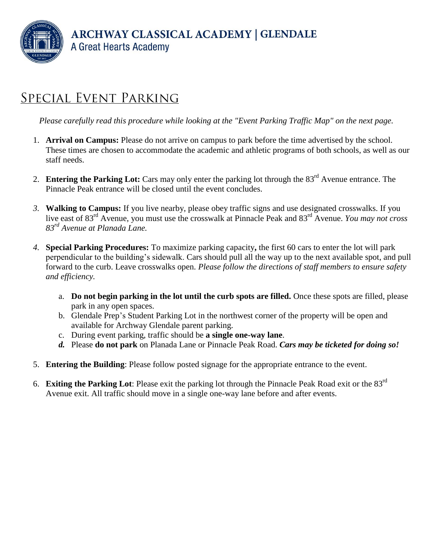**ARCHWAY CLASSICAL ACADEMY | GLENDALE** A Great Hearts Academy

## **SPECIAL EVENT PARKING**

*Please carefully read this procedure while looking at the "Event Parking Traffic Map" on the next page.*

- 1. **Arrival on Campus:** Please do not arrive on campus to park before the time advertised by the school. These times are chosen to accommodate the academic and athletic programs of both schools, as well as our staff needs.
- 2. **Entering the Parking Lot:** Cars may only enter the parking lot through the 83rd Avenue entrance. The Pinnacle Peak entrance will be closed until the event concludes.
- *3.* **Walking to Campus:** If you live nearby, please obey traffic signs and use designated crosswalks. If you live east of 83rd Avenue, you must use the crosswalk at Pinnacle Peak and 83rd Avenue. *You may not cross 83rd Avenue at Planada Lane.*
- *4.* **Special Parking Procedures:** To maximize parking capacity**,** the first 60 cars to enter the lot will park perpendicular to the building's sidewalk. Cars should pull all the way up to the next available spot, and pull forward to the curb. Leave crosswalks open. *Please follow the directions of staff members to ensure safety and efficiency.* 
	- a. **Do not begin parking in the lot until the curb spots are filled.** Once these spots are filled, please park in any open spaces.
	- b. Glendale Prep's Student Parking Lot in the northwest corner of the property will be open and available for Archway Glendale parent parking.
	- c. During event parking, traffic should be **a single one-way lane**.
	- *d.* Please **do not park** on Planada Lane or Pinnacle Peak Road. *Cars may be ticketed for doing so!*
- 5. **Entering the Building**: Please follow posted signage for the appropriate entrance to the event.
- 6. **Exiting the Parking Lot**: Please exit the parking lot through the Pinnacle Peak Road exit or the 83rd Avenue exit. All traffic should move in a single one-way lane before and after events.